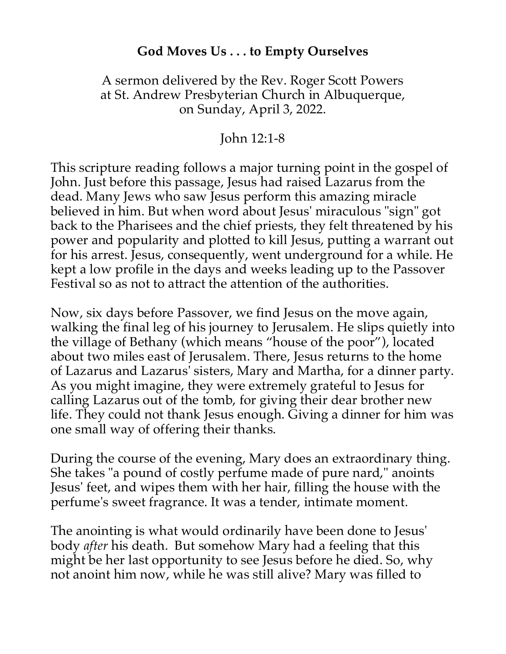## **God Moves Us . . . to Empty Ourselves**

## A sermon delivered by the Rev. Roger Scott Powers at St. Andrew Presbyterian Church in Albuquerque, on Sunday, April 3, 2022.

## John 12:1-8

This scripture reading follows a major turning point in the gospel of John. Just before this passage, Jesus had raised Lazarus from the dead. Many Jews who saw Jesus perform this amazing miracle believed in him. But when word about Jesus' miraculous "sign" got back to the Pharisees and the chief priests, they felt threatened by his power and popularity and plotted to kill Jesus, putting a warrant out for his arrest. Jesus, consequently, went underground for a while. He kept a low profile in the days and weeks leading up to the Passover Festival so as not to attract the attention of the authorities.

Now, six days before Passover, we find Jesus on the move again, walking the final leg of his journey to Jerusalem. He slips quietly into the village of Bethany (which means "house of the poor"), located about two miles east of Jerusalem. There, Jesus returns to the home of Lazarus and Lazarus' sisters, Mary and Martha, for a dinner party. As you might imagine, they were extremely grateful to Jesus for calling Lazarus out of the tomb, for giving their dear brother new life. They could not thank Jesus enough. Giving a dinner for him was one small way of offering their thanks.

During the course of the evening, Mary does an extraordinary thing. She takes "a pound of costly perfume made of pure nard," anoints Jesus' feet, and wipes them with her hair, filling the house with the perfume's sweet fragrance. It was a tender, intimate moment.

The anointing is what would ordinarily have been done to Jesus' body *after* his death. But somehow Mary had a feeling that this might be her last opportunity to see Jesus before he died. So, why not anoint him now, while he was still alive? Mary was filled to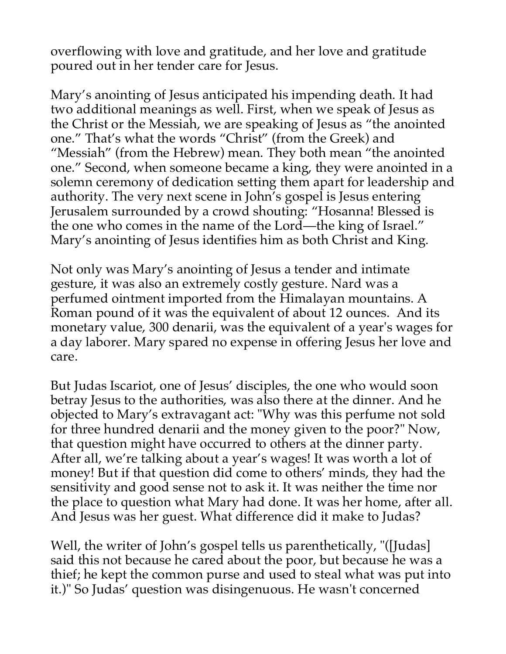overflowing with love and gratitude, and her love and gratitude poured out in her tender care for Jesus.

Mary's anointing of Jesus anticipated his impending death. It had two additional meanings as well. First, when we speak of Jesus as the Christ or the Messiah, we are speaking of Jesus as "the anointed one." That's what the words "Christ" (from the Greek) and "Messiah" (from the Hebrew) mean. They both mean "the anointed one." Second, when someone became a king, they were anointed in a solemn ceremony of dedication setting them apart for leadership and authority. The very next scene in John's gospel is Jesus entering Jerusalem surrounded by a crowd shouting: "Hosanna! Blessed is the one who comes in the name of the Lord—the king of Israel." Mary's anointing of Jesus identifies him as both Christ and King.

Not only was Mary's anointing of Jesus a tender and intimate gesture, it was also an extremely costly gesture. Nard was a perfumed ointment imported from the Himalayan mountains. A Roman pound of it was the equivalent of about 12 ounces. And its monetary value, 300 denarii, was the equivalent of a year's wages for a day laborer. Mary spared no expense in offering Jesus her love and care.

But Judas Iscariot, one of Jesus' disciples, the one who would soon betray Jesus to the authorities, was also there at the dinner. And he objected to Mary's extravagant act: "Why was this perfume not sold for three hundred denarii and the money given to the poor?" Now, that question might have occurred to others at the dinner party. After all, we're talking about a year's wages! It was worth a lot of money! But if that question did come to others' minds, they had the sensitivity and good sense not to ask it. It was neither the time nor the place to question what Mary had done. It was her home, after all. And Jesus was her guest. What difference did it make to Judas?

Well, the writer of John's gospel tells us parenthetically, "([Judas] said this not because he cared about the poor, but because he was a thief; he kept the common purse and used to steal what was put into it.)" So Judas' question was disingenuous. He wasn't concerned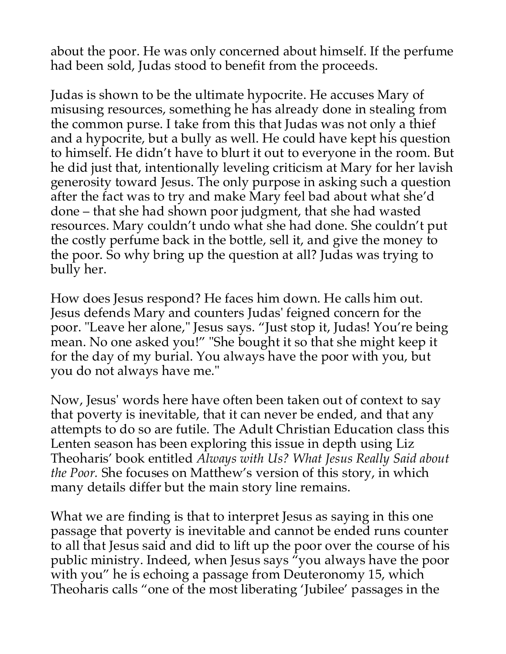about the poor. He was only concerned about himself. If the perfume had been sold, Judas stood to benefit from the proceeds.

Judas is shown to be the ultimate hypocrite. He accuses Mary of misusing resources, something he has already done in stealing from the common purse. I take from this that Judas was not only a thief and a hypocrite, but a bully as well. He could have kept his question to himself. He didn't have to blurt it out to everyone in the room. But he did just that, intentionally leveling criticism at Mary for her lavish generosity toward Jesus. The only purpose in asking such a question after the fact was to try and make Mary feel bad about what she'd done – that she had shown poor judgment, that she had wasted resources. Mary couldn't undo what she had done. She couldn't put the costly perfume back in the bottle, sell it, and give the money to the poor. So why bring up the question at all? Judas was trying to bully her.

How does Jesus respond? He faces him down. He calls him out. Jesus defends Mary and counters Judas' feigned concern for the poor. "Leave her alone," Jesus says. "Just stop it, Judas! You're being mean. No one asked you!" "She bought it so that she might keep it for the day of my burial. You always have the poor with you, but you do not always have me."

Now, Jesus' words here have often been taken out of context to say that poverty is inevitable, that it can never be ended, and that any attempts to do so are futile. The Adult Christian Education class this Lenten season has been exploring this issue in depth using Liz Theoharis' book entitled *Always with Us? What Jesus Really Said about the Poor.* She focuses on Matthew's version of this story, in which many details differ but the main story line remains.

What we are finding is that to interpret Jesus as saying in this one passage that poverty is inevitable and cannot be ended runs counter to all that Jesus said and did to lift up the poor over the course of his public ministry. Indeed, when Jesus says  $\tilde{\gamma}$ you always have the poor with you" he is echoing a passage from Deuteronomy 15, which Theoharis calls "one of the most liberating 'Jubilee' passages in the